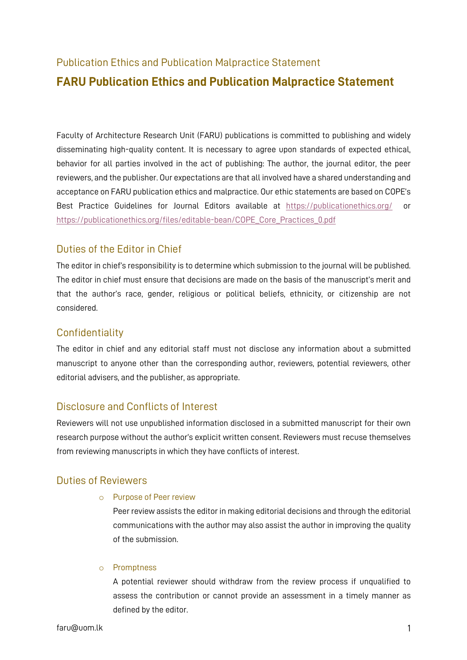# Publication Ethics and Publication Malpractice Statement **FARU Publication Ethics and Publication Malpractice Statement**

Faculty of Architecture Research Unit (FARU) publications is committed to publishing and widely disseminating high-quality content. It is necessary to agree upon standards of expected ethical, behavior for all parties involved in the act of publishing: The author, the journal editor, the peer reviewers, and the publisher. Our expectations are that all involved have a shared understanding and acceptance on FARU publication ethics and malpractice. Our ethic statements are based on COPE's Best Practice Guidelines for Journal Editors available at https://publicationethics.org/ or https://publicationethics.org/files/editable-bean/COPE\_Core\_Practices\_0.pdf

### Duties of the Editor in Chief

The editor in chief's responsibility is to determine which submission to the journal will be published. The editor in chief must ensure that decisions are made on the basis of the manuscript's merit and that the author's race, gender, religious or political beliefs, ethnicity, or citizenship are not considered.

### **Confidentiality**

The editor in chief and any editorial staff must not disclose any information about a submitted manuscript to anyone other than the corresponding author, reviewers, potential reviewers, other editorial advisers, and the publisher, as appropriate.

# Disclosure and Conflicts of Interest

Reviewers will not use unpublished information disclosed in a submitted manuscript for their own research purpose without the author's explicit written consent. Reviewers must recuse themselves from reviewing manuscripts in which they have conflicts of interest.

# Duties of Reviewers

### o Purpose of Peer review

Peer review assists the editor in making editorial decisions and through the editorial communications with the author may also assist the author in improving the quality of the submission.

### o Promptness

A potential reviewer should withdraw from the review process if unqualified to assess the contribution or cannot provide an assessment in a timely manner as defined by the editor.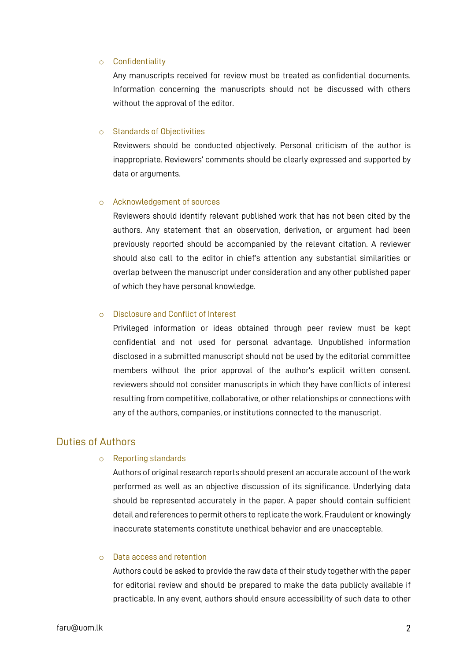#### o Confidentiality

Any manuscripts received for review must be treated as confidential documents. Information concerning the manuscripts should not be discussed with others without the approval of the editor.

#### o Standards of Objectivities

Reviewers should be conducted objectively. Personal criticism of the author is inappropriate. Reviewers' comments should be clearly expressed and supported by data or arguments.

#### o Acknowledgement of sources

Reviewers should identify relevant published work that has not been cited by the authors. Any statement that an observation, derivation, or argument had been previously reported should be accompanied by the relevant citation. A reviewer should also call to the editor in chief's attention any substantial similarities or overlap between the manuscript under consideration and any other published paper of which they have personal knowledge.

#### o Disclosure and Conflict of Interest

Privileged information or ideas obtained through peer review must be kept confidential and not used for personal advantage. Unpublished information disclosed in a submitted manuscript should not be used by the editorial committee members without the prior approval of the author's explicit written consent. reviewers should not consider manuscripts in which they have conflicts of interest resulting from competitive, collaborative, or other relationships or connections with any of the authors, companies, or institutions connected to the manuscript.

### Duties of Authors

#### o Reporting standards

Authors of original research reports should present an accurate account of the work performed as well as an objective discussion of its significance. Underlying data should be represented accurately in the paper. A paper should contain sufficient detail and references to permit others to replicate the work. Fraudulent or knowingly inaccurate statements constitute unethical behavior and are unacceptable.

#### o Data access and retention

Authors could be asked to provide the raw data of their study together with the paper for editorial review and should be prepared to make the data publicly available if practicable. In any event, authors should ensure accessibility of such data to other